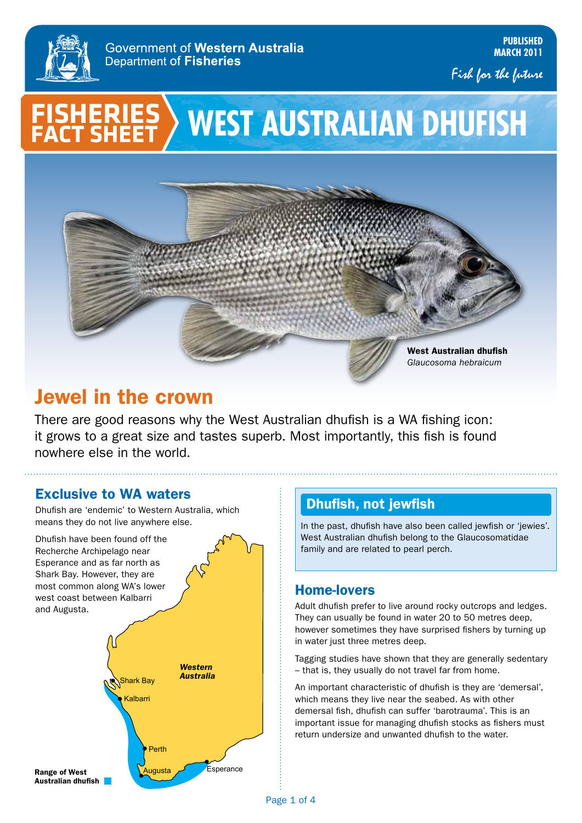

Fish for the future

## **West Australian dhufish FISHERIES FACT SHEET**



# Jewel in the crown

There are good reasons why the West Australian dhufish is a WA fishing icon: it grows to a great size and tastes superb. Most importantly, this fish is found nowhere else in the world.

## Exclusive to WA waters

Dhufish are 'endemic' to Western Australia, which means they do not live anywhere else.



## Dhufish, not jewfish

In the past, dhufish have also been called jewfish or 'jewies'. West Australian dhufish belong to the Glaucosomatidae family and are related to pearl perch.

### Home-lovers

Adult dhufish prefer to live around rocky outcrops and ledges. They can usually be found in water 20 to 50 metres deep, however sometimes they have surprised fishers by turning up in water just three metres deep.

Tagging studies have shown that they are generally sedentary – that is, they usually do not travel far from home.

An important characteristic of dhufish is they are 'demersal', which means they live near the seabed. As with other demersal fish, dhufish can suffer 'barotrauma'. This is an important issue for managing dhufish stocks as fishers must return undersize and unwanted dhufish to the water.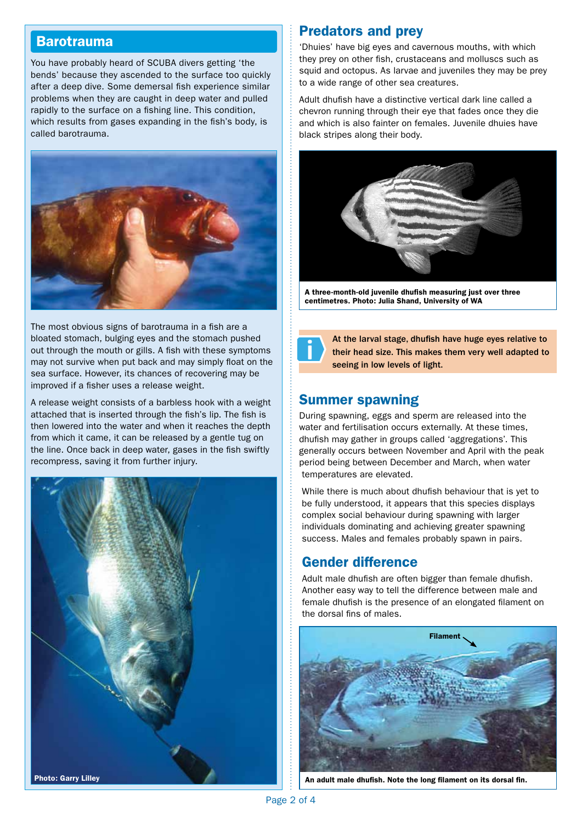### Barotrauma

You have probably heard of SCUBA divers getting 'the bends' because they ascended to the surface too quickly after a deep dive. Some demersal fish experience similar problems when they are caught in deep water and pulled rapidly to the surface on a fishing line. This condition, which results from gases expanding in the fish's body, is called barotrauma.



The most obvious signs of barotrauma in a fish are a bloated stomach, bulging eyes and the stomach pushed out through the mouth or gills. A fish with these symptoms may not survive when put back and may simply float on the sea surface. However, its chances of recovering may be improved if a fisher uses a release weight.

A release weight consists of a barbless hook with a weight attached that is inserted through the fish's lip. The fish is then lowered into the water and when it reaches the depth from which it came, it can be released by a gentle tug on the line. Once back in deep water, gases in the fish swiftly recompress, saving it from further injury.



### Predators and prey

'Dhuies' have big eyes and cavernous mouths, with which they prey on other fish, crustaceans and molluscs such as squid and octopus. As larvae and juveniles they may be prey to a wide range of other sea creatures.

Adult dhufish have a distinctive vertical dark line called a chevron running through their eye that fades once they die and which is also fainter on females. Juvenile dhuies have black stripes along their body.



A three-month-old juvenile dhufish measuring just over three centimetres. Photo: Julia Shand, University of WA



At the larval stage, dhufish have huge eyes relative to their head size. This makes them very well adapted to seeing in low levels of light.

### Summer spawning

During spawning, eggs and sperm are released into the water and fertilisation occurs externally. At these times, dhufish may gather in groups called 'aggregations'. This generally occurs between November and April with the peak period being between December and March, when water temperatures are elevated.

While there is much about dhufish behaviour that is yet to be fully understood, it appears that this species displays complex social behaviour during spawning with larger individuals dominating and achieving greater spawning success. Males and females probably spawn in pairs.

### Gender difference

Adult male dhufish are often bigger than female dhufish. Another easy way to tell the difference between male and female dhufish is the presence of an elongated filament on the dorsal fins of males.

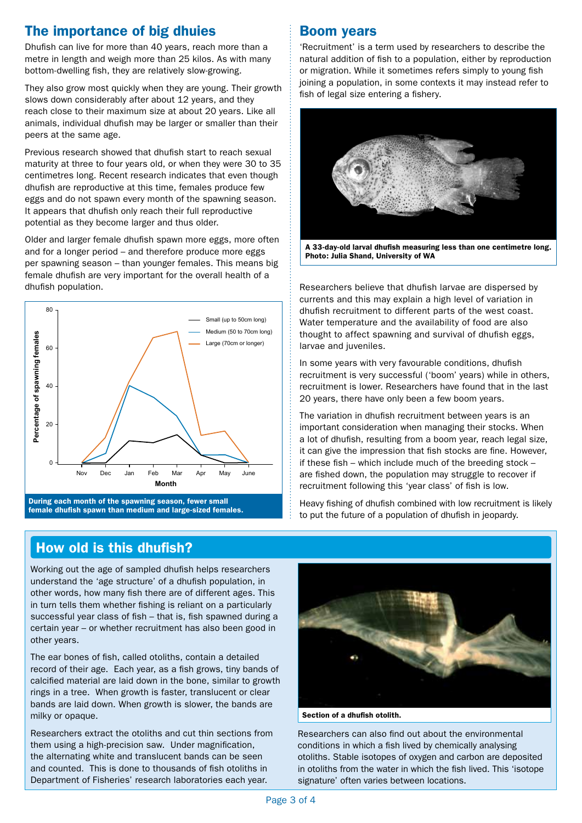## The importance of big dhuies

Dhufish can live for more than 40 years, reach more than a metre in length and weigh more than 25 kilos. As with many bottom-dwelling fish, they are relatively slow-growing.

They also grow most quickly when they are young. Their growth slows down considerably after about 12 years, and they reach close to their maximum size at about 20 years. Like all animals, individual dhufish may be larger or smaller than their peers at the same age.

Previous research showed that dhufish start to reach sexual maturity at three to four years old, or when they were 30 to 35 centimetres long. Recent research indicates that even though dhufish are reproductive at this time, females produce few eggs and do not spawn every month of the spawning season. It appears that dhufish only reach their full reproductive potential as they become larger and thus older.

Older and larger female dhufish spawn more eggs, more often and for a longer period – and therefore produce more eggs per spawning season – than younger females. This means big female dhufish are very important for the overall health of a dhufish population.



During each month of the spawning season, fewer small female dhufish spawn than medium and large-sized females.

## Boom years

'Recruitment' is a term used by researchers to describe the natural addition of fish to a population, either by reproduction or migration. While it sometimes refers simply to young fish joining a population, in some contexts it may instead refer to fish of legal size entering a fishery.



A 33-day-old larval dhufish measuring less than one centimetre long. Photo: Julia Shand, University of WA

Researchers believe that dhufish larvae are dispersed by currents and this may explain a high level of variation in dhufish recruitment to different parts of the west coast. Water temperature and the availability of food are also thought to affect spawning and survival of dhufish eggs, larvae and juveniles.

In some years with very favourable conditions, dhufish recruitment is very successful ('boom' years) while in others, recruitment is lower. Researchers have found that in the last 20 years, there have only been a few boom years.

The variation in dhufish recruitment between years is an important consideration when managing their stocks. When a lot of dhufish, resulting from a boom year, reach legal size, it can give the impression that fish stocks are fine. However, if these fish – which include much of the breeding stock – are fished down, the population may struggle to recover if recruitment following this 'year class' of fish is low.

Heavy fishing of dhufish combined with low recruitment is likely to put the future of a population of dhufish in jeopardy.

## How old is this dhufish?

Working out the age of sampled dhufish helps researchers understand the 'age structure' of a dhufish population, in other words, how many fish there are of different ages. This in turn tells them whether fishing is reliant on a particularly successful year class of fish – that is, fish spawned during a certain year – or whether recruitment has also been good in other years.

The ear bones of fish, called otoliths, contain a detailed record of their age. Each year, as a fish grows, tiny bands of calcified material are laid down in the bone, similar to growth rings in a tree. When growth is faster, translucent or clear bands are laid down. When growth is slower, the bands are milky or opaque.

Researchers extract the otoliths and cut thin sections from them using a high-precision saw. Under magnification, the alternating white and translucent bands can be seen and counted. This is done to thousands of fish otoliths in Department of Fisheries' research laboratories each year.



Section of a dhufish otolith.

Researchers can also find out about the environmental conditions in which a fish lived by chemically analysing otoliths. Stable isotopes of oxygen and carbon are deposited in otoliths from the water in which the fish lived. This 'isotope signature' often varies between locations.